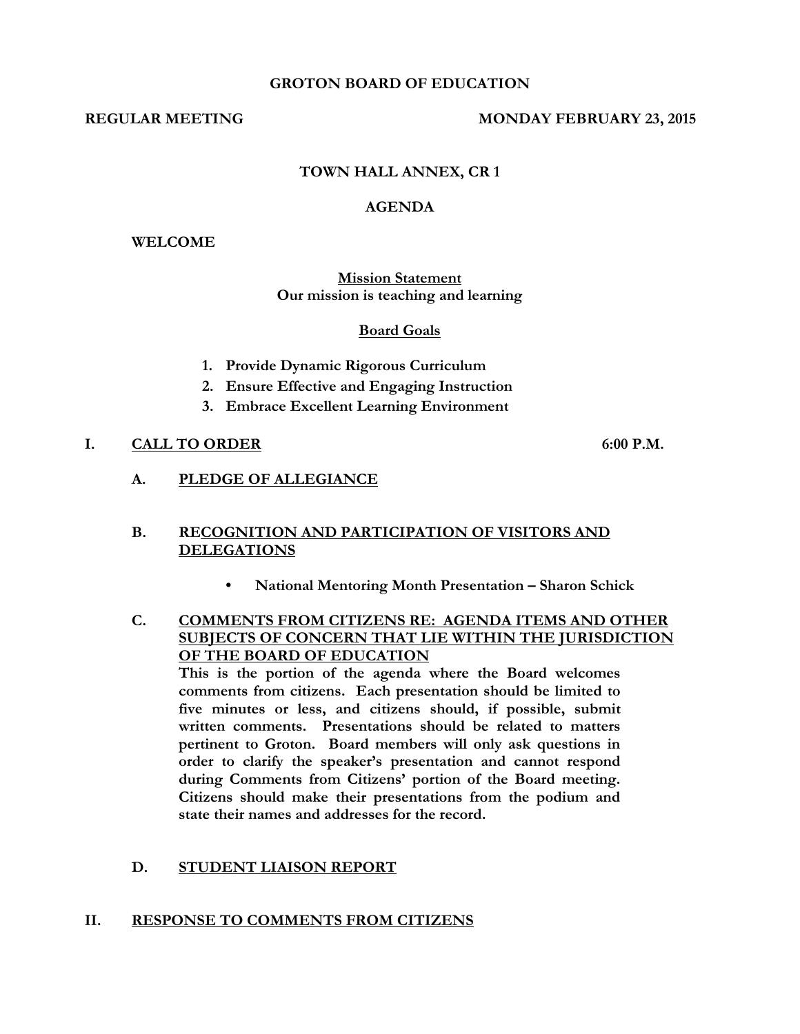#### **GROTON BOARD OF EDUCATION**

#### **REGULAR MEETING MONDAY FEBRUARY 23, 2015**

# **TOWN HALL ANNEX, CR 1**

#### **AGENDA**

#### **WELCOME**

## **Mission Statement Our mission is teaching and learning**

#### **Board Goals**

- **1. Provide Dynamic Rigorous Curriculum**
- **2. Ensure Effective and Engaging Instruction**
- **3. Embrace Excellent Learning Environment**

## **I. CALL TO ORDER 6:00 P.M.**

**A. PLEDGE OF ALLEGIANCE**

## **B. RECOGNITION AND PARTICIPATION OF VISITORS AND DELEGATIONS**

- **• National Mentoring Month Presentation – Sharon Schick**
- **C. COMMENTS FROM CITIZENS RE: AGENDA ITEMS AND OTHER SUBJECTS OF CONCERN THAT LIE WITHIN THE JURISDICTION OF THE BOARD OF EDUCATION**

**This is the portion of the agenda where the Board welcomes comments from citizens. Each presentation should be limited to five minutes or less, and citizens should, if possible, submit written comments. Presentations should be related to matters pertinent to Groton. Board members will only ask questions in order to clarify the speaker's presentation and cannot respond during Comments from Citizens' portion of the Board meeting. Citizens should make their presentations from the podium and state their names and addresses for the record.**

## **D. STUDENT LIAISON REPORT**

#### **II. RESPONSE TO COMMENTS FROM CITIZENS**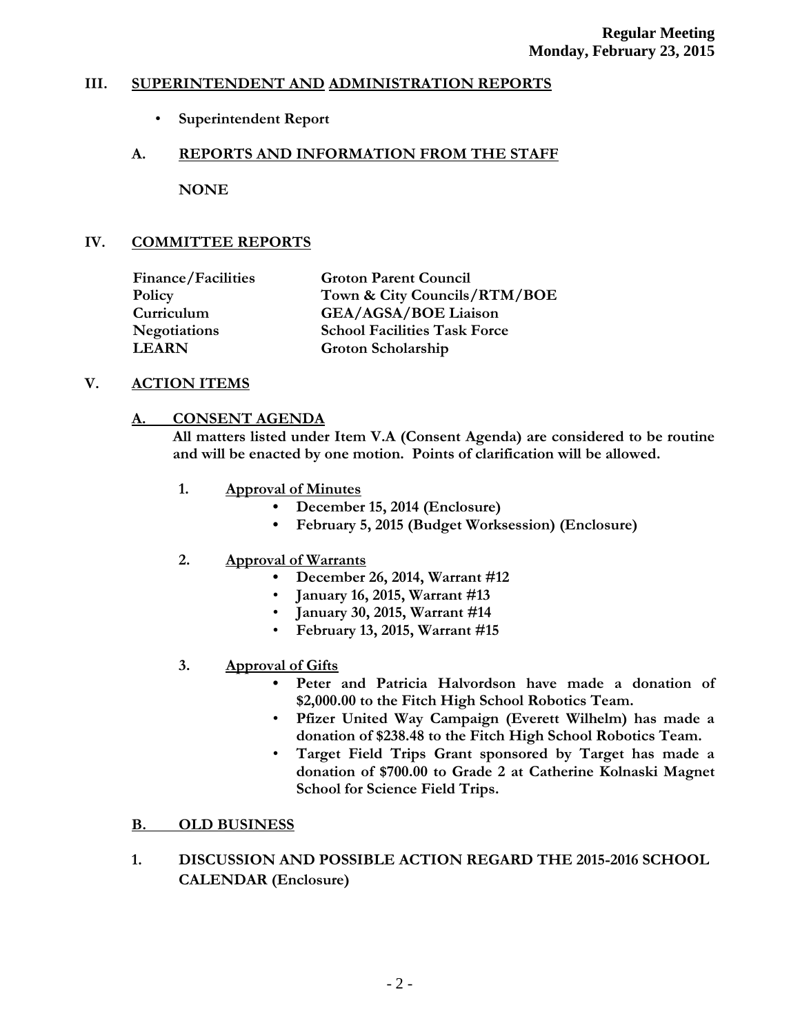# **III. SUPERINTENDENT AND ADMINISTRATION REPORTS**

• **Superintendent Report**

# **A. REPORTS AND INFORMATION FROM THE STAFF**

**NONE**

# **IV. COMMITTEE REPORTS**

| <b>Finance/Facilities</b> | <b>Groton Parent Council</b>        |
|---------------------------|-------------------------------------|
| Policy                    | Town & City Councils/RTM/BOE        |
| Curriculum                | <b>GEA/AGSA/BOE Liaison</b>         |
| <b>Negotiations</b>       | <b>School Facilities Task Force</b> |
| <b>LEARN</b>              | Groton Scholarship                  |

## **V. ACTION ITEMS**

## **A. CONSENT AGENDA**

**All matters listed under Item V.A (Consent Agenda) are considered to be routine and will be enacted by one motion. Points of clarification will be allowed.**

- **1. Approval of Minutes**
	- **December 15, 2014 (Enclosure)**
	- **• February 5, 2015 (Budget Worksession) (Enclosure)**

## **2. Approval of Warrants**

- **• December 26, 2014, Warrant #12**
- **January 16, 2015, Warrant #13**
- **January 30, 2015, Warrant #14**
- **February 13, 2015, Warrant #15**
- **3. Approval of Gifts**
	- **Peter and Patricia Halvordson have made a donation of \$2,000.00 to the Fitch High School Robotics Team.**
	- **Pfizer United Way Campaign (Everett Wilhelm) has made a donation of \$238.48 to the Fitch High School Robotics Team.**
	- **Target Field Trips Grant sponsored by Target has made a donation of \$700.00 to Grade 2 at Catherine Kolnaski Magnet School for Science Field Trips.**

## **B. OLD BUSINESS**

**1. DISCUSSION AND POSSIBLE ACTION REGARD THE 2015-2016 SCHOOL CALENDAR (Enclosure)**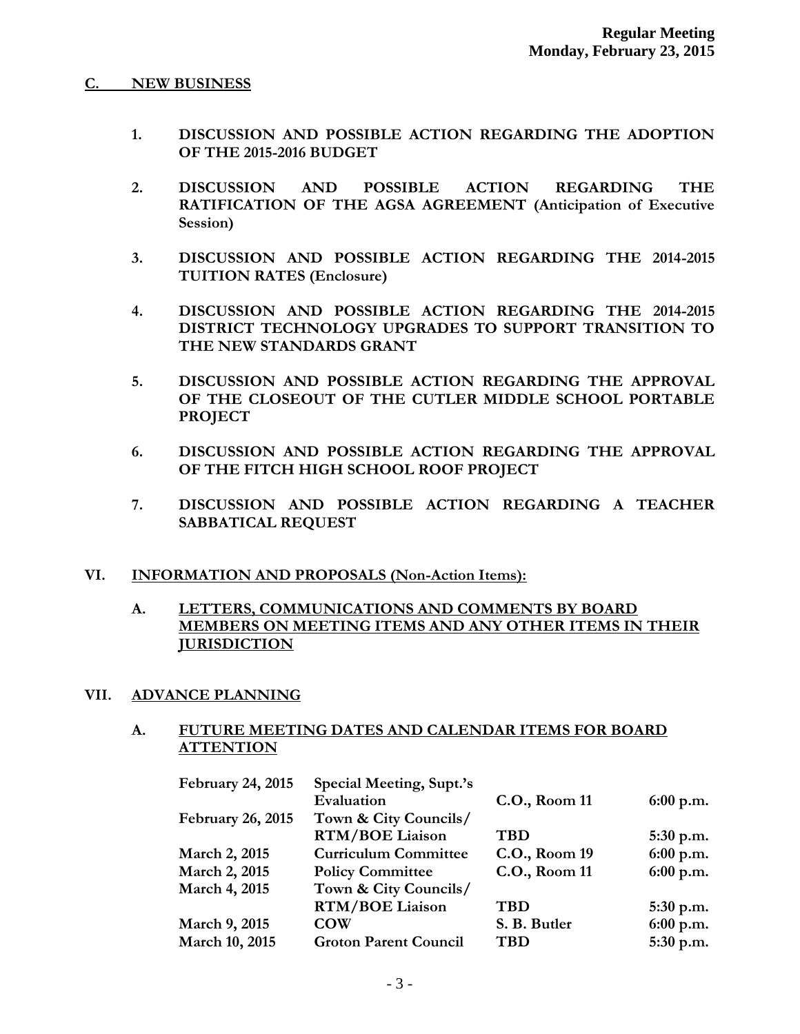## **C. NEW BUSINESS**

- **1. DISCUSSION AND POSSIBLE ACTION REGARDING THE ADOPTION OF THE 2015-2016 BUDGET**
- **2. DISCUSSION AND POSSIBLE ACTION REGARDING THE RATIFICATION OF THE AGSA AGREEMENT (Anticipation of Executive Session)**
- **3. DISCUSSION AND POSSIBLE ACTION REGARDING THE 2014-2015 TUITION RATES (Enclosure)**
- **4. DISCUSSION AND POSSIBLE ACTION REGARDING THE 2014-2015 DISTRICT TECHNOLOGY UPGRADES TO SUPPORT TRANSITION TO THE NEW STANDARDS GRANT**
- **5. DISCUSSION AND POSSIBLE ACTION REGARDING THE APPROVAL OF THE CLOSEOUT OF THE CUTLER MIDDLE SCHOOL PORTABLE PROJECT**
- **6. DISCUSSION AND POSSIBLE ACTION REGARDING THE APPROVAL OF THE FITCH HIGH SCHOOL ROOF PROJECT**
- **7. DISCUSSION AND POSSIBLE ACTION REGARDING A TEACHER SABBATICAL REQUEST**

## **VI. INFORMATION AND PROPOSALS (Non-Action Items):**

# **A. LETTERS, COMMUNICATIONS AND COMMENTS BY BOARD MEMBERS ON MEETING ITEMS AND ANY OTHER ITEMS IN THEIR JURISDICTION**

#### **VII. ADVANCE PLANNING**

## **A. FUTURE MEETING DATES AND CALENDAR ITEMS FOR BOARD ATTENTION**

| February 24, 2015        | Special Meeting, Supt.'s     |               |             |
|--------------------------|------------------------------|---------------|-------------|
|                          | Evaluation                   | C.O., Room 11 | $6:00$ p.m. |
| <b>February 26, 2015</b> | Town & City Councils/        |               |             |
|                          | <b>RTM/BOE Liaison</b>       | <b>TBD</b>    | $5:30$ p.m. |
| <b>March 2, 2015</b>     | <b>Curriculum Committee</b>  | C.O., Room 19 | $6:00$ p.m. |
| March 2, 2015            | <b>Policy Committee</b>      | C.O., Room 11 | $6:00$ p.m. |
| March 4, 2015            | Town & City Councils/        |               |             |
|                          | <b>RTM/BOE Liaison</b>       | <b>TBD</b>    | $5:30$ p.m. |
| March 9, 2015            | <b>COW</b>                   | S. B. Butler  | $6:00$ p.m. |
| March 10, 2015           | <b>Groton Parent Council</b> | <b>TBD</b>    | $5:30$ p.m. |